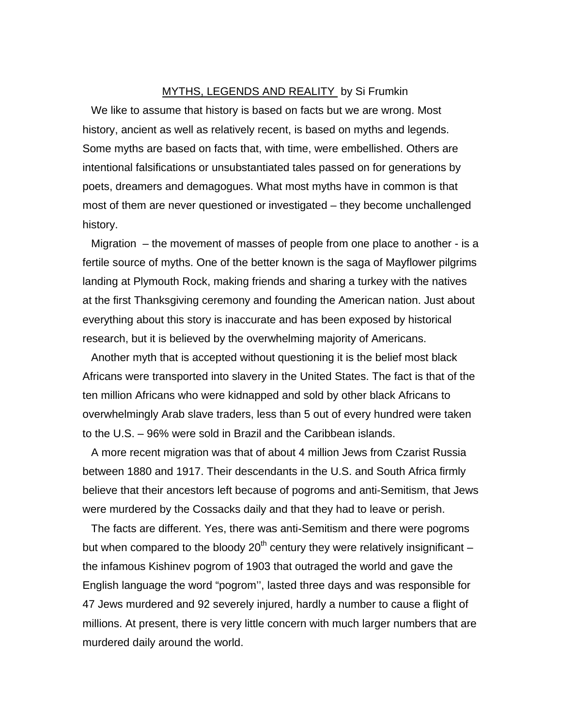### MYTHS, LEGENDS AND REALITY by Si Frumkin

We like to assume that history is based on facts but we are wrong. Most history, ancient as well as relatively recent, is based on myths and legends. Some myths are based on facts that, with time, were embellished. Others are intentional falsifications or unsubstantiated tales passed on for generations by poets, dreamers and demagogues. What most myths have in common is that most of them are never questioned or investigated – they become unchallenged history.

Migration – the movement of masses of people from one place to another - is a fertile source of myths. One of the better known is the saga of Mayflower pilgrims landing at Plymouth Rock, making friends and sharing a turkey with the natives at the first Thanksgiving ceremony and founding the American nation. Just about everything about this story is inaccurate and has been exposed by historical research, but it is believed by the overwhelming majority of Americans.

Another myth that is accepted without questioning it is the belief most black Africans were transported into slavery in the United States. The fact is that of the ten million Africans who were kidnapped and sold by other black Africans to overwhelmingly Arab slave traders, less than 5 out of every hundred were taken to the U.S. – 96% were sold in Brazil and the Caribbean islands.

A more recent migration was that of about 4 million Jews from Czarist Russia between 1880 and 1917. Their descendants in the U.S. and South Africa firmly believe that their ancestors left because of pogroms and anti-Semitism, that Jews were murdered by the Cossacks daily and that they had to leave or perish.

The facts are different. Yes, there was anti-Semitism and there were pogroms but when compared to the bloody  $20<sup>th</sup>$  century they were relatively insignificant – the infamous Kishinev pogrom of 1903 that outraged the world and gave the English language the word "pogrom'', lasted three days and was responsible for 47 Jews murdered and 92 severely injured, hardly a number to cause a flight of millions. At present, there is very little concern with much larger numbers that are murdered daily around the world.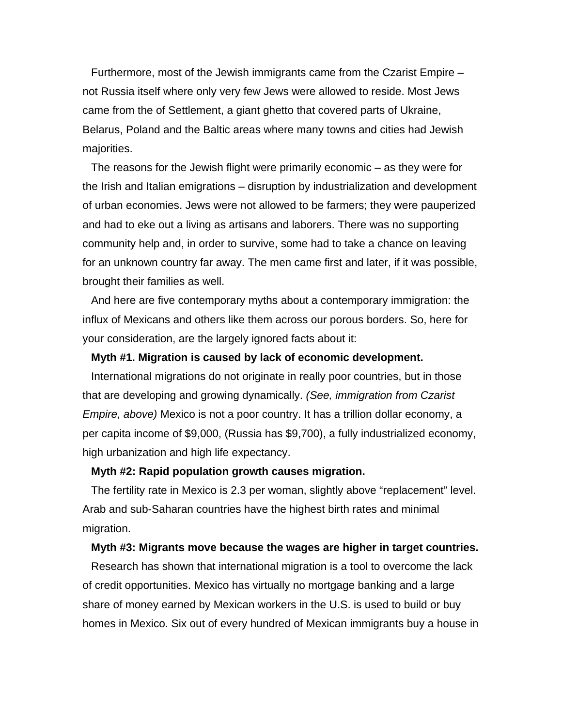Furthermore, most of the Jewish immigrants came from the Czarist Empire – not Russia itself where only very few Jews were allowed to reside. Most Jews came from the of Settlement, a giant ghetto that covered parts of Ukraine, Belarus, Poland and the Baltic areas where many towns and cities had Jewish majorities.

The reasons for the Jewish flight were primarily economic – as they were for the Irish and Italian emigrations – disruption by industrialization and development of urban economies. Jews were not allowed to be farmers; they were pauperized and had to eke out a living as artisans and laborers. There was no supporting community help and, in order to survive, some had to take a chance on leaving for an unknown country far away. The men came first and later, if it was possible, brought their families as well.

And here are five contemporary myths about a contemporary immigration: the influx of Mexicans and others like them across our porous borders. So, here for your consideration, are the largely ignored facts about it:

### **Myth #1. Migration is caused by lack of economic development.**

International migrations do not originate in really poor countries, but in those that are developing and growing dynamically. *(See, immigration from Czarist Empire, above)* Mexico is not a poor country. It has a trillion dollar economy, a per capita income of \$9,000, (Russia has \$9,700), a fully industrialized economy, high urbanization and high life expectancy.

# **Myth #2: Rapid population growth causes migration.**

The fertility rate in Mexico is 2.3 per woman, slightly above "replacement" level. Arab and sub-Saharan countries have the highest birth rates and minimal migration.

#### **Myth #3: Migrants move because the wages are higher in target countries.**

Research has shown that international migration is a tool to overcome the lack of credit opportunities. Mexico has virtually no mortgage banking and a large share of money earned by Mexican workers in the U.S. is used to build or buy homes in Mexico. Six out of every hundred of Mexican immigrants buy a house in